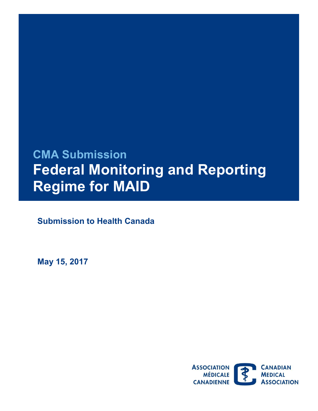# **CMA Submission Federal Monitoring and Reporting Regime for MAID**

**Submission to Health Canada** 

 **May 15, 2017** 

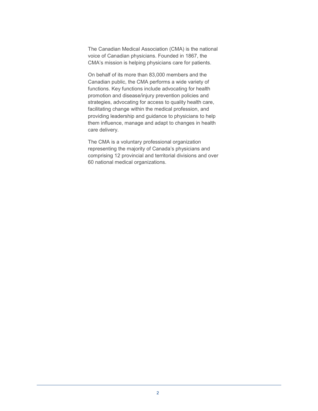The Canadian Medical Association (CMA) is the national voice of Canadian physicians. Founded in 1867, the CMA's mission is helping physicians care for patients.

 Canadian public, the CMA performs a wide variety of On behalf of its more than 83,000 members and the functions. Key functions include advocating for health promotion and disease/injury prevention policies and strategies, advocating for access to quality health care, facilitating change within the medical profession, and providing leadership and guidance to physicians to help them influence, manage and adapt to changes in health care delivery.

The CMA is a voluntary professional organization representing the majority of Canada's physicians and comprising 12 provincial and territorial divisions and over 60 national medical organizations.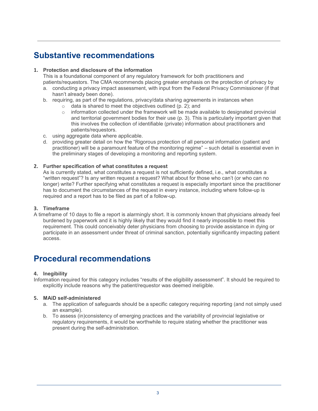## **Substantive recommendations**

#### **1. Protection and disclosure of the information**

This is a foundational component of any regulatory framework for both practitioners and patients/requestors. The CMA recommends placing greater emphasis on the protection of privacy by

- a. conducting a privacy impact assessment, with input from the Federal Privacy Commissioner (if that hasn't already been done).
- b. requiring, as part of the regulations, privacy/data sharing agreements in instances when
	- $\circ$  data is shared to meet the objectives outlined (p. 2); and
	- $\circ$  information collected under the framework will be made available to designated provincial and territorial government bodies for their use (p. 3). This is particularly important given that this involves the collection of identifiable (private) information about practitioners and patients/requestors.
- c. using aggregate data where applicable.
- d. providing greater detail on how the "Rigorous protection of all personal information (patient and practitioner) will be a paramount feature of the monitoring regime" – such detail is essential even in the preliminary stages of developing a monitoring and reporting system.

#### **2. Further specification of what constitutes a request**

As is currently stated, what constitutes a request is not sufficiently defined, i.e., what constitutes a "written request"? Is any written request a request? What about for those who can't (or who can no longer) write? Further specifying what constitutes a request is especially important since the practitioner has to document the circumstances of the request in every instance, including where follow-up is required and a report has to be filed as part of a follow-up.

#### **3. Timeframe**

 burdened by paperwork and it is highly likely that they would find it nearly impossible to meet this requirement. This could conceivably deter physicians from choosing to provide assistance in dying or A timeframe of 10 days to file a report is alarmingly short. It is commonly known that physicians already feel participate in an assessment under threat of criminal sanction, potentially significantly impacting patient access.

### **Procedural recommendations**

#### **4. Inegibility**

Information required for this category includes "results of the eligibility assessment". It should be required to explicitly include reasons why the patient/requestor was deemed ineligible.

#### **5. MAiD self-administered**

- a. The application of safeguards should be a specific category requiring reporting (and not simply used an example).
- b. To assess (in)consistency of emerging practices and the variability of provincial legislative or regulatory requirements, it would be worthwhile to require stating whether the practitioner was present during the self-administration.